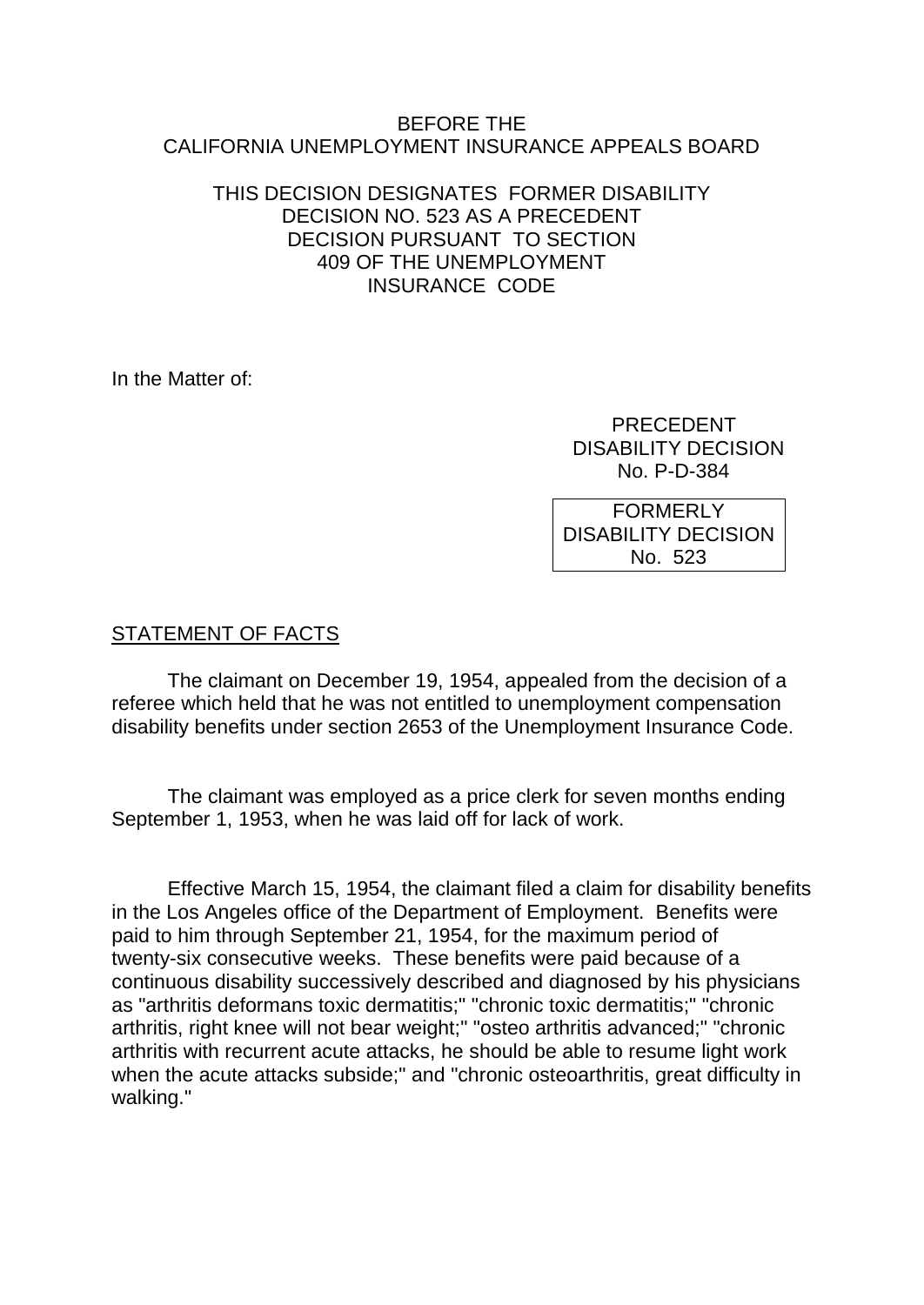#### BEFORE THE CALIFORNIA UNEMPLOYMENT INSURANCE APPEALS BOARD

#### THIS DECISION DESIGNATES FORMER DISABILITY DECISION NO. 523 AS A PRECEDENT DECISION PURSUANT TO SECTION 409 OF THE UNEMPLOYMENT INSURANCE CODE

In the Matter of:

 PRECEDENT DISABILITY DECISION No. P-D-384

FORMERLY DISABILITY DECISION No. 523

## STATEMENT OF FACTS

The claimant on December 19, 1954, appealed from the decision of a referee which held that he was not entitled to unemployment compensation disability benefits under section 2653 of the Unemployment Insurance Code.

The claimant was employed as a price clerk for seven months ending September 1, 1953, when he was laid off for lack of work.

Effective March 15, 1954, the claimant filed a claim for disability benefits in the Los Angeles office of the Department of Employment. Benefits were paid to him through September 21, 1954, for the maximum period of twenty-six consecutive weeks. These benefits were paid because of a continuous disability successively described and diagnosed by his physicians as "arthritis deformans toxic dermatitis;" "chronic toxic dermatitis;" "chronic arthritis, right knee will not bear weight;" "osteo arthritis advanced;" "chronic arthritis with recurrent acute attacks, he should be able to resume light work when the acute attacks subside;" and "chronic osteoarthritis, great difficulty in walking."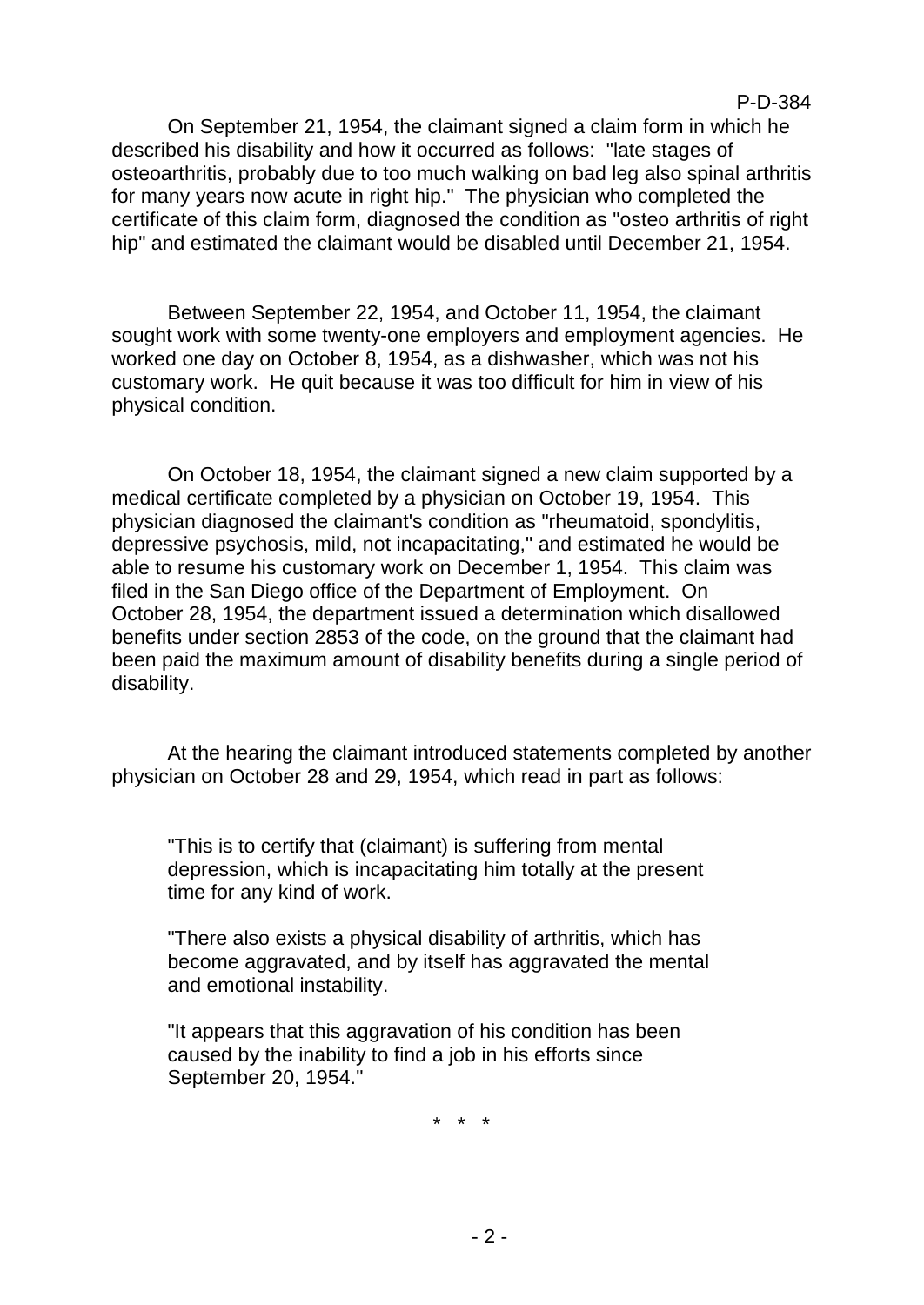#### P-D-384

On September 21, 1954, the claimant signed a claim form in which he described his disability and how it occurred as follows: "late stages of osteoarthritis, probably due to too much walking on bad leg also spinal arthritis for many years now acute in right hip." The physician who completed the certificate of this claim form, diagnosed the condition as "osteo arthritis of right hip" and estimated the claimant would be disabled until December 21, 1954.

Between September 22, 1954, and October 11, 1954, the claimant sought work with some twenty-one employers and employment agencies. He worked one day on October 8, 1954, as a dishwasher, which was not his customary work. He quit because it was too difficult for him in view of his physical condition.

On October 18, 1954, the claimant signed a new claim supported by a medical certificate completed by a physician on October 19, 1954. This physician diagnosed the claimant's condition as "rheumatoid, spondylitis, depressive psychosis, mild, not incapacitating," and estimated he would be able to resume his customary work on December 1, 1954. This claim was filed in the San Diego office of the Department of Employment. On October 28, 1954, the department issued a determination which disallowed benefits under section 2853 of the code, on the ground that the claimant had been paid the maximum amount of disability benefits during a single period of disability.

At the hearing the claimant introduced statements completed by another physician on October 28 and 29, 1954, which read in part as follows:

"This is to certify that (claimant) is suffering from mental depression, which is incapacitating him totally at the present time for any kind of work.

"There also exists a physical disability of arthritis, which has become aggravated, and by itself has aggravated the mental and emotional instability.

"It appears that this aggravation of his condition has been caused by the inability to find a job in his efforts since September 20, 1954."

\* \* \*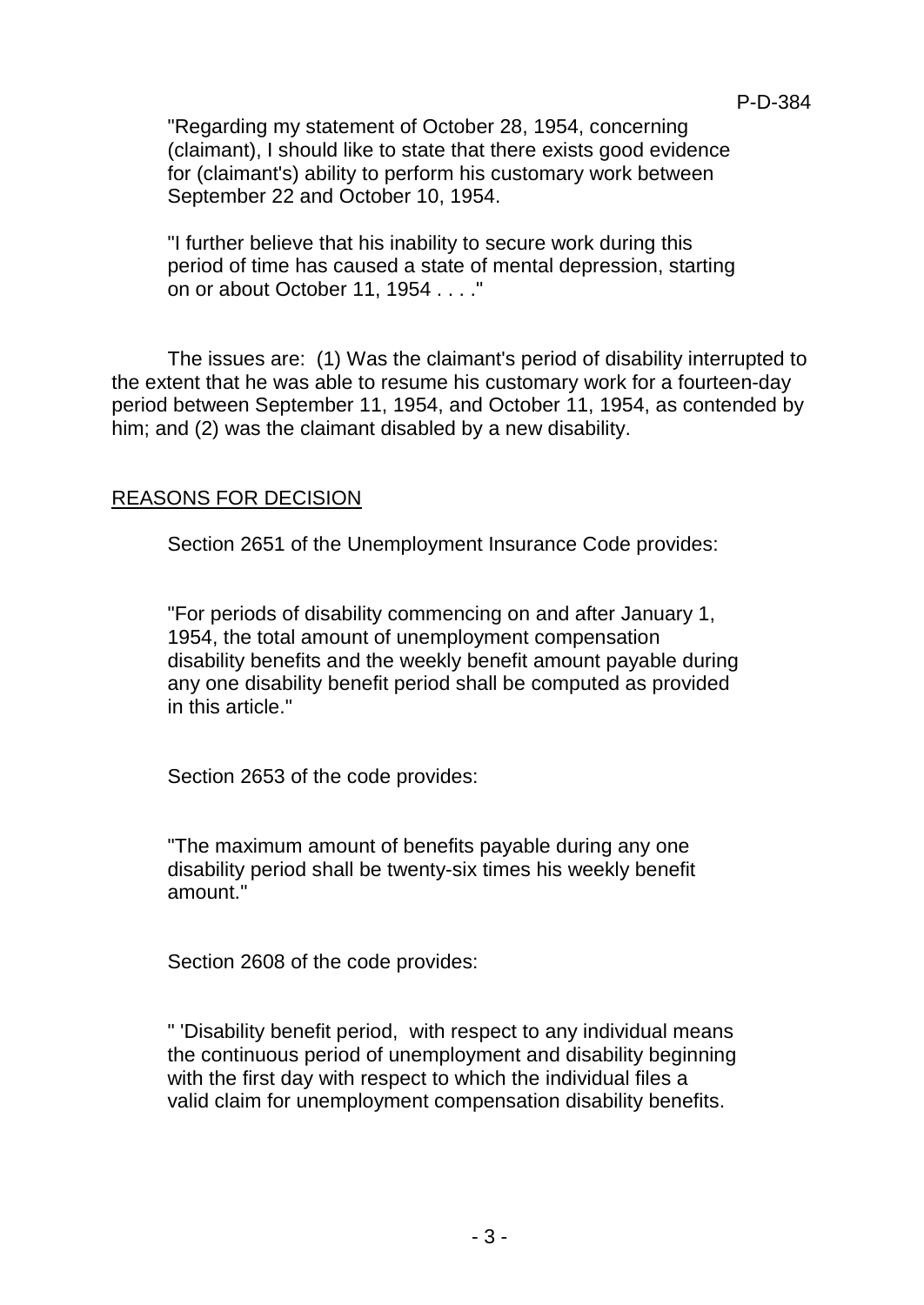"Regarding my statement of October 28, 1954, concerning (claimant), I should like to state that there exists good evidence for (claimant's) ability to perform his customary work between September 22 and October 10, 1954.

"I further believe that his inability to secure work during this period of time has caused a state of mental depression, starting on or about October 11, 1954 . . . ."

The issues are: (1) Was the claimant's period of disability interrupted to the extent that he was able to resume his customary work for a fourteen-day period between September 11, 1954, and October 11, 1954, as contended by him; and (2) was the claimant disabled by a new disability.

### REASONS FOR DECISION

Section 2651 of the Unemployment Insurance Code provides:

"For periods of disability commencing on and after January 1, 1954, the total amount of unemployment compensation disability benefits and the weekly benefit amount payable during any one disability benefit period shall be computed as provided in this article."

Section 2653 of the code provides:

"The maximum amount of benefits payable during any one disability period shall be twenty-six times his weekly benefit amount."

Section 2608 of the code provides:

" 'Disability benefit period, with respect to any individual means the continuous period of unemployment and disability beginning with the first day with respect to which the individual files a valid claim for unemployment compensation disability benefits.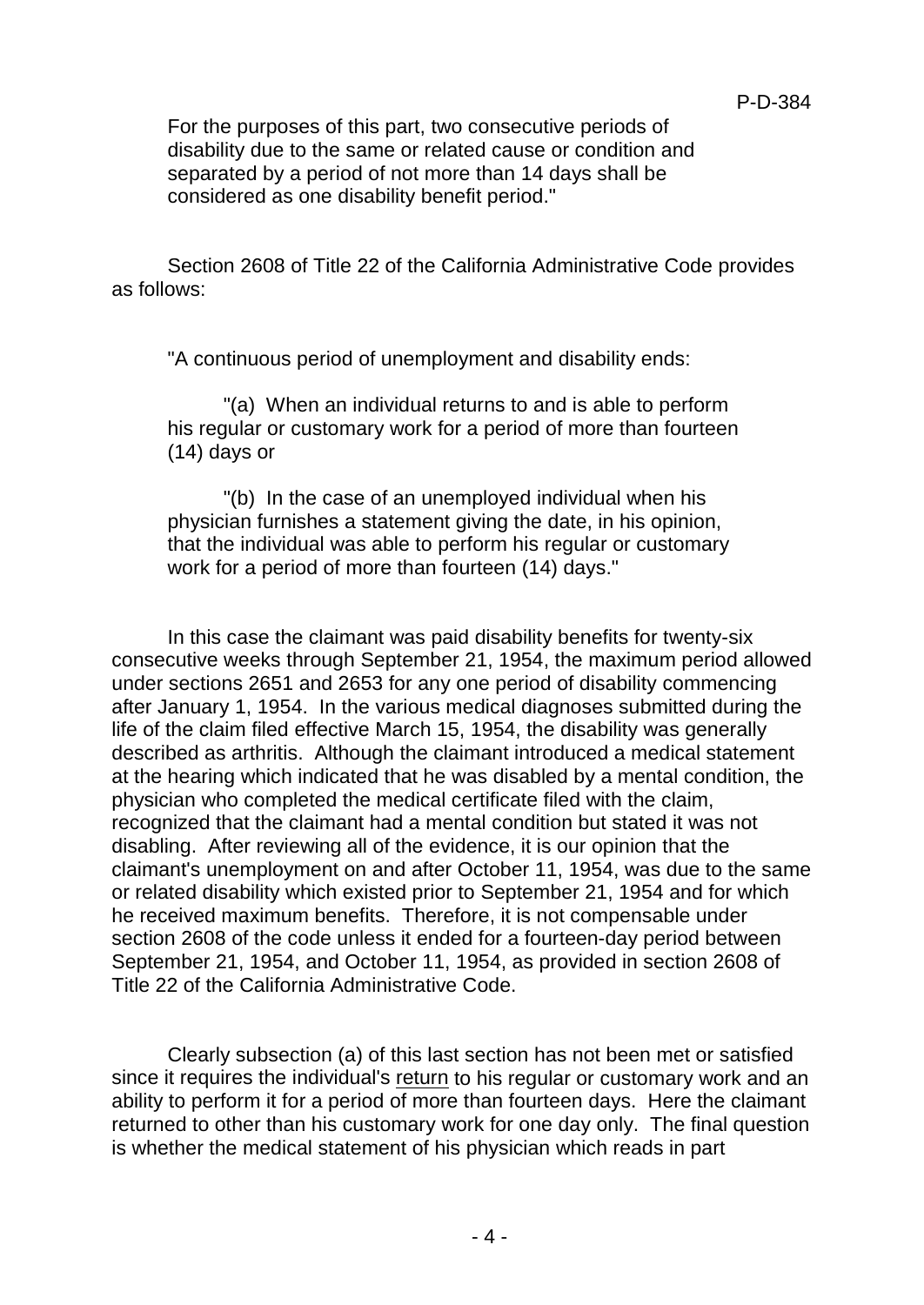For the purposes of this part, two consecutive periods of disability due to the same or related cause or condition and separated by a period of not more than 14 days shall be considered as one disability benefit period."

Section 2608 of Title 22 of the California Administrative Code provides as follows:

"A continuous period of unemployment and disability ends:

"(a) When an individual returns to and is able to perform his regular or customary work for a period of more than fourteen (14) days or

"(b) In the case of an unemployed individual when his physician furnishes a statement giving the date, in his opinion, that the individual was able to perform his regular or customary work for a period of more than fourteen (14) days."

In this case the claimant was paid disability benefits for twenty-six consecutive weeks through September 21, 1954, the maximum period allowed under sections 2651 and 2653 for any one period of disability commencing after January 1, 1954. In the various medical diagnoses submitted during the life of the claim filed effective March 15, 1954, the disability was generally described as arthritis. Although the claimant introduced a medical statement at the hearing which indicated that he was disabled by a mental condition, the physician who completed the medical certificate filed with the claim, recognized that the claimant had a mental condition but stated it was not disabling. After reviewing all of the evidence, it is our opinion that the claimant's unemployment on and after October 11, 1954, was due to the same or related disability which existed prior to September 21, 1954 and for which he received maximum benefits. Therefore, it is not compensable under section 2608 of the code unless it ended for a fourteen-day period between September 21, 1954, and October 11, 1954, as provided in section 2608 of Title 22 of the California Administrative Code.

Clearly subsection (a) of this last section has not been met or satisfied since it requires the individual's return to his regular or customary work and an ability to perform it for a period of more than fourteen days. Here the claimant returned to other than his customary work for one day only. The final question is whether the medical statement of his physician which reads in part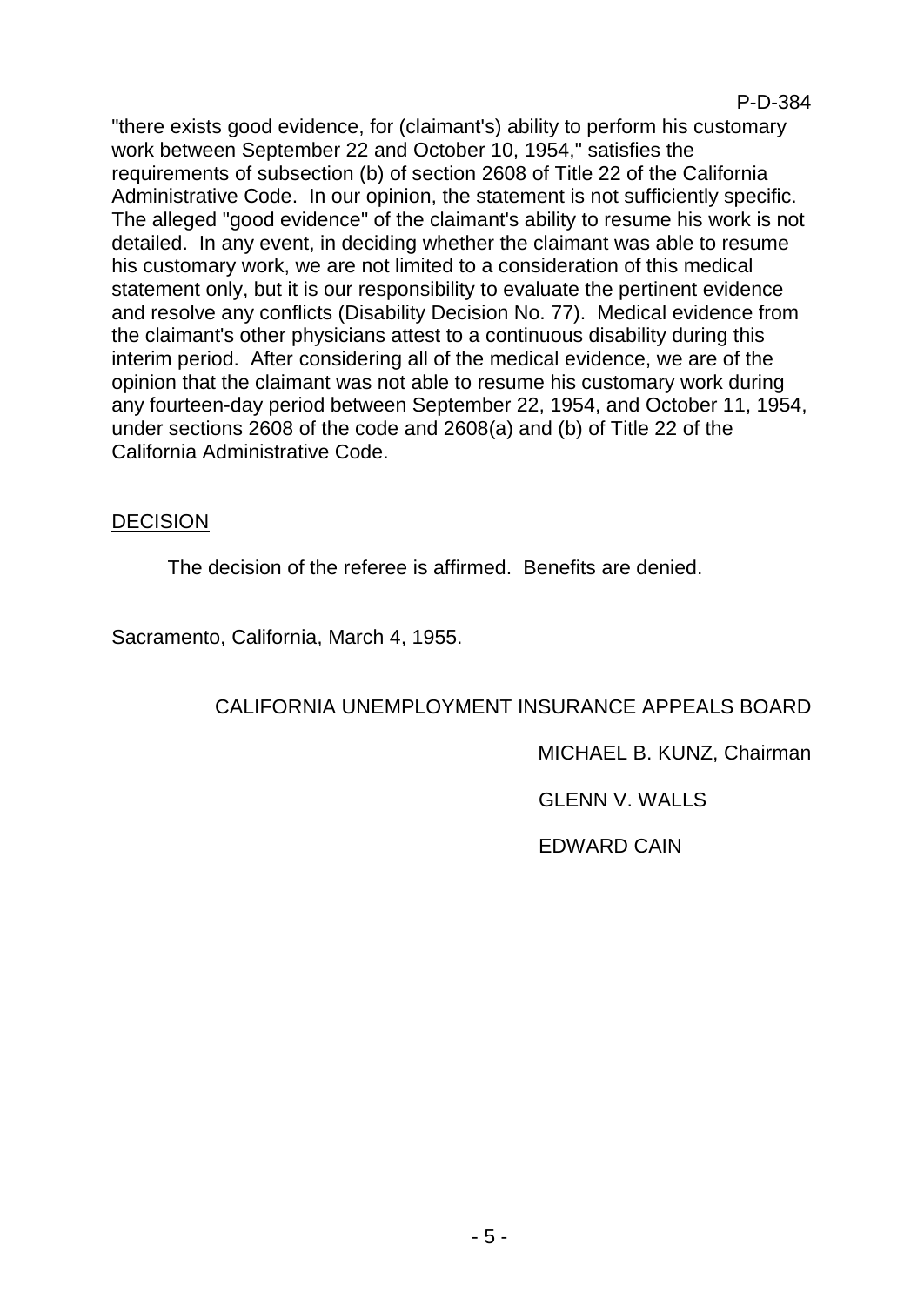"there exists good evidence, for (claimant's) ability to perform his customary work between September 22 and October 10, 1954," satisfies the requirements of subsection (b) of section 2608 of Title 22 of the California Administrative Code. In our opinion, the statement is not sufficiently specific. The alleged "good evidence" of the claimant's ability to resume his work is not detailed. In any event, in deciding whether the claimant was able to resume his customary work, we are not limited to a consideration of this medical statement only, but it is our responsibility to evaluate the pertinent evidence and resolve any conflicts (Disability Decision No. 77). Medical evidence from the claimant's other physicians attest to a continuous disability during this interim period. After considering all of the medical evidence, we are of the opinion that the claimant was not able to resume his customary work during any fourteen-day period between September 22, 1954, and October 11, 1954, under sections 2608 of the code and 2608(a) and (b) of Title 22 of the California Administrative Code.

## DECISION

The decision of the referee is affirmed. Benefits are denied.

Sacramento, California, March 4, 1955.

# CALIFORNIA UNEMPLOYMENT INSURANCE APPEALS BOARD

MICHAEL B. KUNZ, Chairman

GLENN V. WALLS

EDWARD CAIN